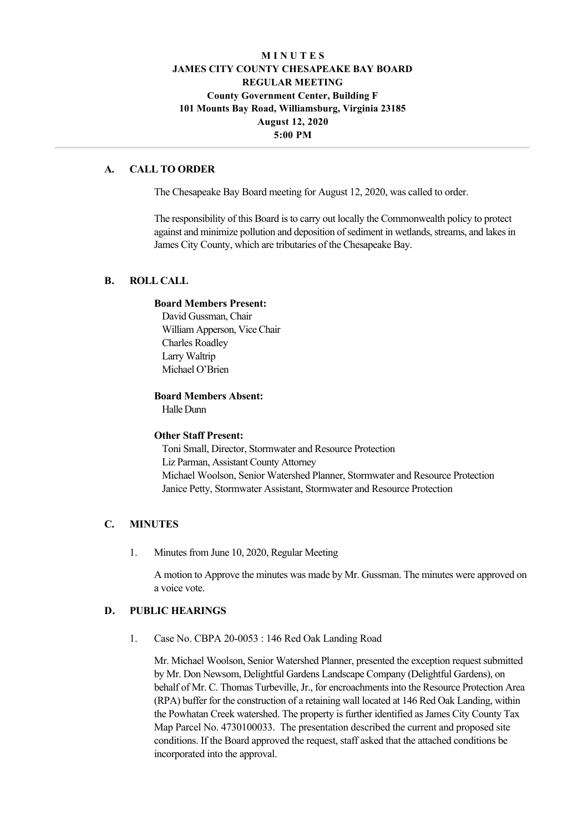# **M I N U T E S JAMES CITY COUNTY CHESAPEAKE BAY BOARD REGULAR MEETING County Government Center, Building F 101 Mounts Bay Road, Williamsburg, Virginia 23185 August 12, 2020 5:00 PM**

### **A. CALL TO ORDER**

The Chesapeake Bay Board meeting for August 12, 2020, was called to order.

The responsibility of this Board is to carry out locally the Commonwealth policy to protect against and minimize pollution and deposition of sediment in wetlands, streams, and lakes in James City County, which are tributaries of the Chesapeake Bay.

## **B. ROLL CALL**

#### **Board Members Present:**

David Gussman, Chair William Apperson, Vice Chair Charles Roadley Larry Waltrip Michael O'Brien

#### **Board Members Absent:**

Halle Dunn

#### **Other Staff Present:**

Toni Small, Director, Stormwater and Resource Protection Liz Parman, Assistant County Attorney Michael Woolson, Senior Watershed Planner, Stormwater and Resource Protection Janice Petty, Stormwater Assistant, Stormwater and Resource Protection

## **C. MINUTES**

1. Minutes from June 10, 2020, Regular Meeting

A motion to Approve the minutes was made by Mr. Gussman. The minutes were approved on a voice vote.

## **D. PUBLIC HEARINGS**

1. Case No. CBPA 20-0053 : 146 Red Oak Landing Road

Mr. Michael Woolson, Senior Watershed Planner, presented the exception request submitted by Mr. Don Newsom, Delightful Gardens Landscape Company (Delightful Gardens), on behalf of Mr. C. Thomas Turbeville, Jr., for encroachments into the Resource Protection Area (RPA) buffer for the construction of a retaining wall located at 146 Red Oak Landing, within the Powhatan Creek watershed. The property is further identified as James City County Tax Map Parcel No. 4730100033. The presentation described the current and proposed site conditions. If the Board approved the request, staff asked that the attached conditions be incorporated into the approval.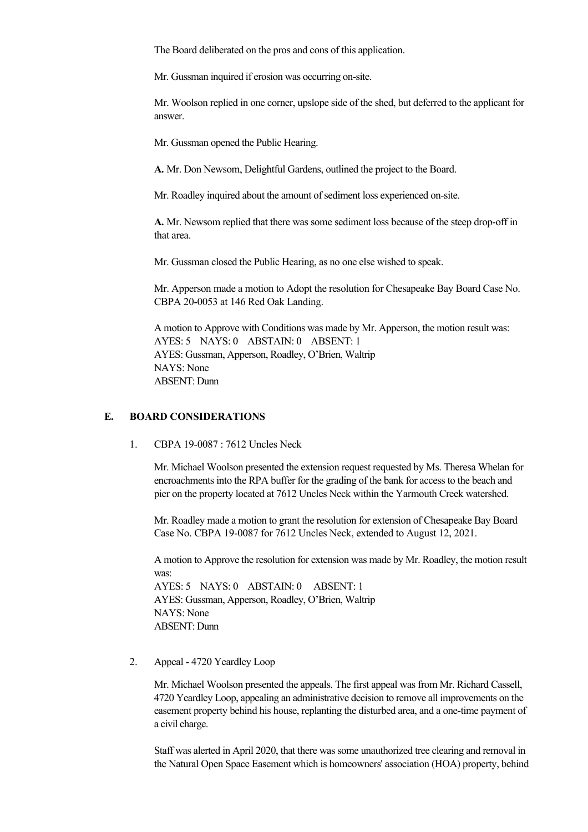The Board deliberated on the pros and cons of this application.

Mr. Gussman inquired if erosion was occurring on-site.

Mr. Woolson replied in one corner, upslope side of the shed, but deferred to the applicant for answer.

Mr. Gussman opened the Public Hearing.

**A.** Mr. Don Newsom, Delightful Gardens, outlined the project to the Board.

Mr. Roadley inquired about the amount of sediment loss experienced on-site.

A. Mr. Newsom replied that there was some sediment loss because of the steep drop-off in that area.

Mr. Gussman closed the Public Hearing, as no one else wished to speak.

Mr. Apperson made a motion to Adopt the resolution for Chesapeake Bay Board Case No. CBPA 20-0053 at 146 Red Oak Landing.

A motion to Approve with Conditions was made by Mr. Apperson, the motion result was: AYES: 5 NAYS: 0 ABSTAIN: 0 ABSENT: 1 AYES: Gussman, Apperson, Roadley, O'Brien, Waltrip NAYS: None ABSENT: Dunn

## **E. BOARD CONSIDERATIONS**

1. CBPA 19-0087 : 7612 Uncles Neck

Mr. Michael Woolson presented the extension request requested by Ms. Theresa Whelan for encroachments into the RPA buffer for the grading of the bank for access to the beach and pier on the property located at 7612 Uncles Neck within the Yarmouth Creek watershed.

Mr. Roadley made a motion to grant the resolution for extension of Chesapeake Bay Board Case No. CBPA 19-0087 for 7612 Uncles Neck, extended to August 12, 2021.

A motion to Approve the resolution for extension was made by Mr. Roadley, the motion result was:

AYES: 5 NAYS: 0 ABSTAIN: 0 ABSENT: 1 AYES: Gussman, Apperson, Roadley, O'Brien, Waltrip NAYS: None ABSENT: Dunn

2. Appeal - 4720 Yeardley Loop

Mr. Michael Woolson presented the appeals. The first appeal was from Mr. Richard Cassell, 4720 Yeardley Loop, appealing an administrative decision to remove all improvements on the easement property behind his house, replanting the disturbed area, and a one-time payment of a civil charge.

Staff was alerted in April 2020, that there was some unauthorized tree clearing and removal in the Natural Open Space Easement which is homeowners' association (HOA) property, behind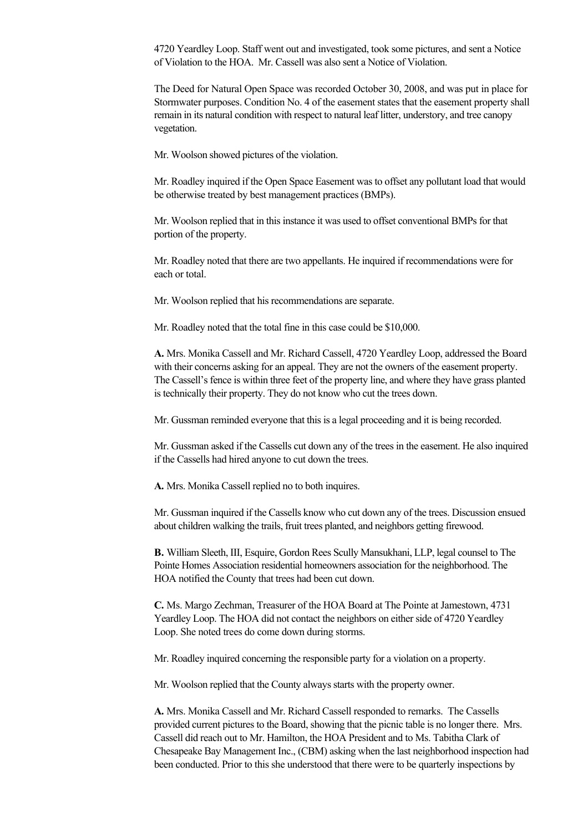4720 Yeardley Loop. Staff went out and investigated, took some pictures, and sent a Notice of Violation to the HOA. Mr. Cassell was also sent a Notice of Violation.

The Deed for Natural Open Space was recorded October 30, 2008, and was put in place for Stormwater purposes. Condition No. 4 of the easement states that the easement property shall remain in its natural condition with respect to natural leaf litter, understory, and tree canopy vegetation.

Mr. Woolson showed pictures of the violation.

Mr. Roadley inquired if the Open Space Easement was to offset any pollutant load that would be otherwise treated by best management practices (BMPs).

Mr. Woolson replied that in this instance it was used to offset conventional BMPs for that portion of the property.

Mr. Roadley noted that there are two appellants. He inquired if recommendations were for each or total.

Mr. Woolson replied that his recommendations are separate.

Mr. Roadley noted that the total fine in this case could be \$10,000.

**A.** Mrs. Monika Cassell and Mr. Richard Cassell, 4720 Yeardley Loop, addressed the Board with their concerns asking for an appeal. They are not the owners of the easement property. The Cassell's fence is within three feet of the property line, and where they have grass planted is technically their property. They do not know who cut the trees down.

Mr. Gussman reminded everyone that this is a legal proceeding and it is being recorded.

Mr. Gussman asked if the Cassells cut down any of the trees in the easement. He also inquired if the Cassells had hired anyone to cut down the trees.

**A.** Mrs. Monika Cassell replied no to both inquires.

Mr. Gussman inquired if the Cassells know who cut down any of the trees. Discussion ensued about children walking the trails, fruit trees planted, and neighbors getting firewood.

**B.** William Sleeth, III, Esquire, Gordon Rees Scully Mansukhani, LLP, legal counsel to The Pointe Homes Association residential homeowners association for the neighborhood. The HOA notified the County that trees had been cut down.

**C.** Ms. Margo Zechman, Treasurer of the HOA Board at The Pointe at Jamestown, 4731 Yeardley Loop. The HOA did not contact the neighbors on either side of 4720 Yeardley Loop. She noted trees do come down during storms.

Mr. Roadley inquired concerning the responsible party for a violation on a property.

Mr. Woolson replied that the County always starts with the property owner.

**A.** Mrs. Monika Cassell and Mr. Richard Cassell responded to remarks. The Cassells provided current pictures to the Board, showing that the picnic table is no longer there. Mrs. Cassell did reach out to Mr. Hamilton, the HOA President and to Ms. Tabitha Clark of Chesapeake Bay Management Inc., (CBM) asking when the last neighborhood inspection had been conducted. Prior to this she understood that there were to be quarterly inspections by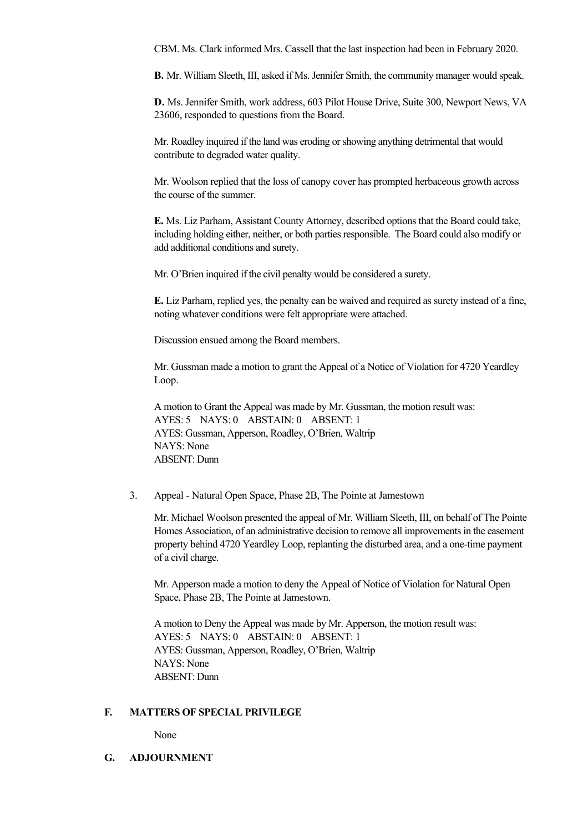CBM. Ms. Clark informed Mrs. Cassell that the last inspection had been in February 2020.

**B.** Mr. William Sleeth, III, asked if Ms. Jennifer Smith, the community manager would speak.

**D.** Ms. Jennifer Smith, work address, 603 Pilot House Drive, Suite 300, Newport News, VA 23606, responded to questions from the Board.

Mr. Roadley inquired if the land was eroding or showing anything detrimental that would contribute to degraded water quality.

Mr. Woolson replied that the loss of canopy cover has prompted herbaceous growth across the course of the summer.

**E.** Ms. Liz Parham, Assistant County Attorney, described options that the Board could take, including holding either, neither, or both parties responsible. The Board could also modify or add additional conditions and surety.

Mr. O'Brien inquired if the civil penalty would be considered a surety.

**E.** Liz Parham, replied yes, the penalty can be waived and required as surety instead of a fine, noting whatever conditions were felt appropriate were attached.

Discussion ensued among the Board members.

Mr. Gussman made a motion to grant the Appeal of a Notice of Violation for 4720 Yeardley Loop.

A motion to Grant the Appeal was made by Mr. Gussman, the motion result was: AYES: 5 NAYS: 0 ABSTAIN: 0 ABSENT: 1 AYES: Gussman, Apperson, Roadley, O'Brien, Waltrip NAYS: None ABSENT: Dunn

3. Appeal - Natural Open Space, Phase 2B, The Pointe at Jamestown

Mr. Michael Woolson presented the appeal of Mr. William Sleeth, III, on behalf of The Pointe Homes Association, of an administrative decision to remove all improvements in the easement property behind 4720 Yeardley Loop, replanting the disturbed area, and a one-time payment of a civil charge.

Mr. Apperson made a motion to deny the Appeal of Notice of Violation for Natural Open Space, Phase 2B, The Pointe at Jamestown.

A motion to Deny the Appeal was made by Mr. Apperson, the motion result was: AYES: 5 NAYS: 0 ABSTAIN: 0 ABSENT: 1 AYES: Gussman, Apperson, Roadley, O'Brien, Waltrip NAYS: None ABSENT: Dunn

#### **F. MATTERS OF SPECIAL PRIVILEGE**

None

**G. ADJOURNMENT**